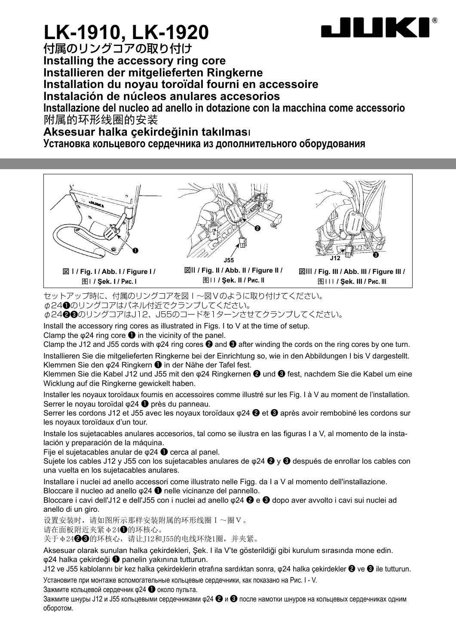

## **LK-1910, LK-1920**

付属のリングコアの取り付け **Installing the accessory ring core Installieren der mitgelieferten Ringkerne Installation du noyau toroïdal fourni en accessoire Instalación de núcleos anulares accesorios Installazione del nucleo ad anello in dotazione con la macchina come accessorio** 附属的环形线圈的安装

**Aksesuar halka çekirdeğinin takılmas**ı

**Установка кольцевого сердечника из дополнительного оборудования**



图I **/ Şek. I / Рис. I**



図II **/ Fig. II / Abb. II / Figure II /**  图II **/ Şek. II / Рис. II**



図III **/ Fig. III / Abb. III / Figure III /**  图III **/ Şek. III / Рис. III**

セットアップ時に、付属のリングコアを図I~図Vのように取り付けてください。 φ24❶のリングコアはパネル付近でクランプしてください。

φ24❷❸のリングコアはJ12、J55のコードを1ターンさせてクランプしてください。

Install the accessory ring cores as illustrated in Figs. I to V at the time of setup.

Clamp the  $\omega$ 24 ring core  $\bullet$  in the vicinity of the panel.

Clamp the J12 and J55 cords with φ24 ring cores ❷ and ❸ after winding the cords on the ring cores by one turn.

Installieren Sie die mitgelieferten Ringkerne bei der Einrichtung so, wie in den Abbildungen I bis V dargestellt. Klemmen Sie den φ24 Ringkern ❶ in der Nähe der Tafel fest.

Klemmen Sie die Kabel J12 und J55 mit den φ24 Ringkernen ❷ und ❸ fest, nachdem Sie die Kabel um eine Wicklung auf die Ringkerne gewickelt haben.

Installer les noyaux toroïdaux fournis en accessoires comme illustré sur les Fig. I à V au moment de l'installation. Serrer le noyau toroïdal φ24 ❶ près du panneau.

Serrer les cordons J12 et J55 avec les noyaux toroïdaux φ24 ❷ et ❸ après avoir rembobiné les cordons sur les noyaux toroïdaux d'un tour.

Instale los sujetacables anulares accesorios, tal como se ilustra en las figuras I a V, al momento de la instalación y preparación de la máquina.

Fije el sujetacables anular de φ24 ❶ cerca al panel.

Sujete los cables J12 y J55 con los sujetacables anulares de  $\varphi$ 24  $\bigcirc$  y  $\bigcirc$  después de enrollar los cables con una vuelta en los sujetacables anulares.

Installare i nuclei ad anello accessori come illustrato nelle Figg. da I a V al momento dell'installazione. Bloccare il nucleo ad anello φ24 ❶ nelle vicinanze del pannello.

Bloccare i cavi dell'J12 e dell'J55 con i nuclei ad anello  $\varphi$ 24  $\bigcirc$  e  $\bigcirc$  dopo aver avvolto i cavi sui nuclei ad anello di un giro.

设置安装时, 请如图所示那样安装附属的环形线圈 I ~圈 V 。

请在面板附近夹紧φ24❶的环核心。

关于φ24❷❸的环核心,请让J12和J55的电线环绕1圈,并夹紧。

Aksesuar olarak sunulan halka çekirdekleri, Şek. I ila V'te gösterildiği gibi kurulum sırasında mone edin. φ24 halka çekirdeği ❶ panelin yakınına tutturun.

J12 ve J55 kablolarını bir kez halka çekirdeklerin etrafına sardıktan sonra, φ24 halka çekirdekler ❷ ve ❸ ile tutturun. Установите при монтаже вспомогательные кольцевые сердечники, как показано на Рис. I - V.

Зажмите кольцевой сердечник φ24 ❶ около пульта.

Зажмите шнуры J12 и J55 кольцевыми сердечниками φ24 ❷ и ❸ после намотки шнуров на кольцевых сердечниках одним оборотом.